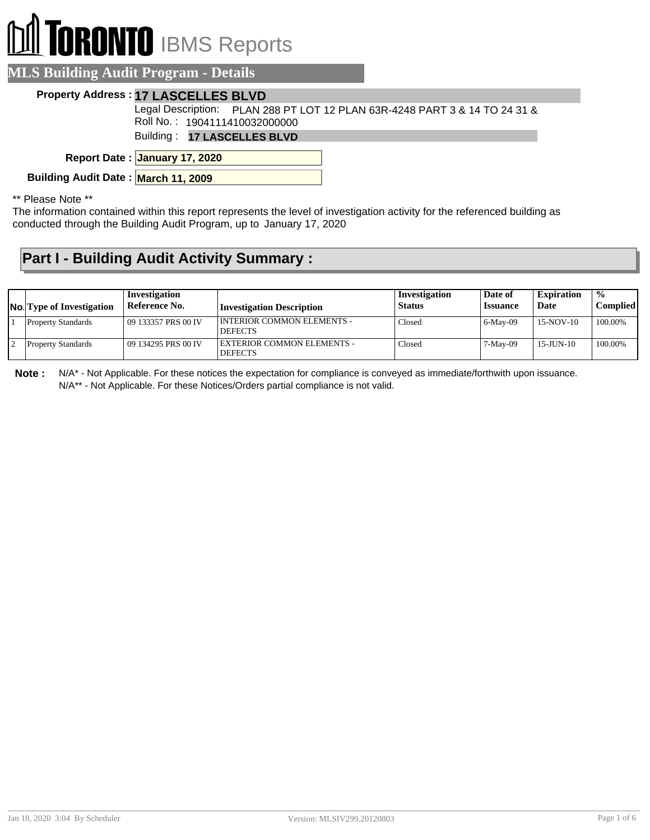## **ORONTO** IBMS Reports

| <b>MLS Building Audit Program - Details</b>                                                                 |
|-------------------------------------------------------------------------------------------------------------|
| <b>Property Address: 17 LASCELLES BLVD</b>                                                                  |
| Legal Description: PLAN 288 PT LOT 12 PLAN 63R-4248 PART 3 & 14 TO 24 31 &<br>Roll No.: 1904111410032000000 |
| Building: 17 LASCELLES BLVD                                                                                 |
| Report Date: January 17, 2020                                                                               |

**Building Audit Date : March 11, 2009**

\*\* Please Note \*\*

The information contained within this report represents the level of investigation activity for the referenced building as conducted through the Building Audit Program, up to January 17, 2020

## **Part I - Building Audit Activity Summary :**

| <b>No.</b> Type of Investigation | Investigation<br>Reference No. | Investigation Description                    | Investigation<br><b>Status</b> | Date of<br><i><b>Issuance</b></i> | <b>Expiration</b><br>Date | $\frac{0}{0}$<br>Compliedl |
|----------------------------------|--------------------------------|----------------------------------------------|--------------------------------|-----------------------------------|---------------------------|----------------------------|
| <b>Property Standards</b>        | 109 133357 PRS 00 IV           | INTERIOR COMMON ELEMENTS -<br><b>DEFECTS</b> | Closed                         | 6-May-09                          | 15-NOV-10                 | 100.00%                    |
| <b>Property Standards</b>        | 09 134295 PRS 00 IV            | EXTERIOR COMMON ELEMENTS -<br><b>DEFECTS</b> | Closed                         | 7-May-09                          | $15 - J$ UN $-10$         | 100.00%                    |

**Note :** N/A\* - Not Applicable. For these notices the expectation for compliance is conveyed as immediate/forthwith upon issuance. N/A\*\* - Not Applicable. For these Notices/Orders partial compliance is not valid.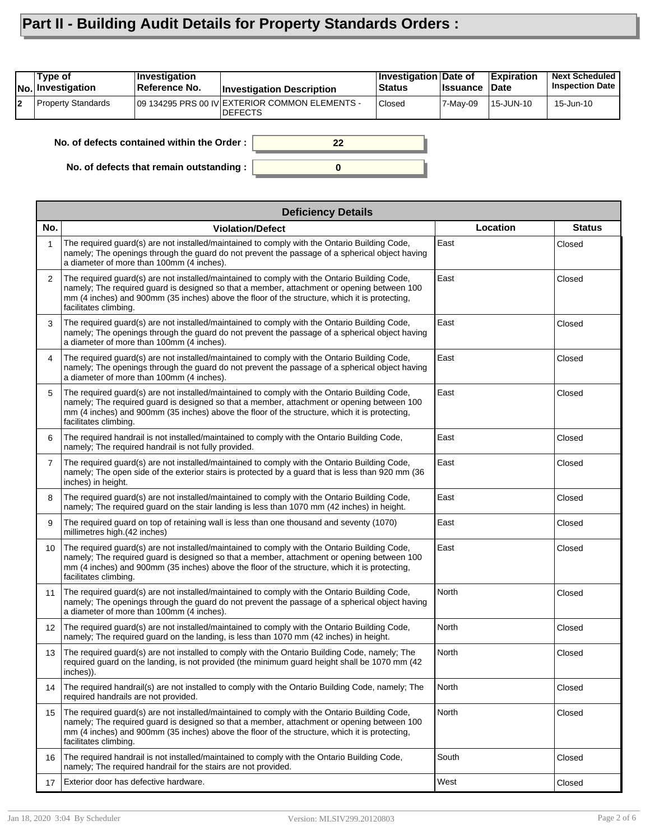## **Part II - Building Audit Details for Property Standards Orders :**

|    | Type of<br>No. Investigation                     | Investigation<br>Reference No. | <b>Investigation Description</b>                                 | <b>Investigation Date of</b><br><b>Status</b> | <b>Issuance</b> | <b>Expiration</b><br><b>Date</b> | <b>Next Scheduled</b><br><b>Inspection Date</b> |
|----|--------------------------------------------------|--------------------------------|------------------------------------------------------------------|-----------------------------------------------|-----------------|----------------------------------|-------------------------------------------------|
| 12 | Property Standards                               |                                | 09 134295 PRS 00 IV EXTERIOR COMMON ELEMENTS -<br><b>DEFECTS</b> | Closed                                        | 7-Mav-09        | 15-JUN-10                        | 15-Jun-10                                       |
|    | No. of defects contained within the Order:<br>22 |                                |                                                                  |                                               |                 |                                  |                                                 |

**0**

**No. of defects that remain outstanding :**

|                | <b>Deficiency Details</b>                                                                                                                                                                                                                                                                                            |              |               |  |  |  |  |
|----------------|----------------------------------------------------------------------------------------------------------------------------------------------------------------------------------------------------------------------------------------------------------------------------------------------------------------------|--------------|---------------|--|--|--|--|
| No.            | <b>Violation/Defect</b>                                                                                                                                                                                                                                                                                              | Location     | <b>Status</b> |  |  |  |  |
| 1              | The required guard(s) are not installed/maintained to comply with the Ontario Building Code,<br>namely; The openings through the guard do not prevent the passage of a spherical object having<br>a diameter of more than 100mm (4 inches).                                                                          | East         | Closed        |  |  |  |  |
| $\overline{2}$ | The required guard(s) are not installed/maintained to comply with the Ontario Building Code,<br>namely; The required guard is designed so that a member, attachment or opening between 100<br>mm (4 inches) and 900mm (35 inches) above the floor of the structure, which it is protecting,<br>facilitates climbing. | East         | Closed        |  |  |  |  |
| 3              | The required quard(s) are not installed/maintained to comply with the Ontario Building Code,<br>namely; The openings through the guard do not prevent the passage of a spherical object having<br>a diameter of more than 100mm (4 inches).                                                                          | East         | Closed        |  |  |  |  |
| 4              | The required guard(s) are not installed/maintained to comply with the Ontario Building Code,<br>namely; The openings through the guard do not prevent the passage of a spherical object having<br>a diameter of more than 100mm (4 inches).                                                                          | East         | Closed        |  |  |  |  |
| 5              | The required guard(s) are not installed/maintained to comply with the Ontario Building Code,<br>namely; The required guard is designed so that a member, attachment or opening between 100<br>mm (4 inches) and 900mm (35 inches) above the floor of the structure, which it is protecting,<br>facilitates climbing. | East         | Closed        |  |  |  |  |
| 6              | The required handrail is not installed/maintained to comply with the Ontario Building Code,<br>namely; The required handrail is not fully provided.                                                                                                                                                                  | East         | Closed        |  |  |  |  |
| $\overline{7}$ | The required guard(s) are not installed/maintained to comply with the Ontario Building Code,<br>namely; The open side of the exterior stairs is protected by a guard that is less than 920 mm (36<br>inches) in height.                                                                                              | East         | Closed        |  |  |  |  |
| 8              | The required guard(s) are not installed/maintained to comply with the Ontario Building Code,<br>namely; The required quard on the stair landing is less than 1070 mm (42 inches) in height.                                                                                                                          | East         | Closed        |  |  |  |  |
| 9              | The required guard on top of retaining wall is less than one thousand and seventy (1070)<br>millimetres high.(42 inches)                                                                                                                                                                                             | East         | Closed        |  |  |  |  |
| 10             | The required guard(s) are not installed/maintained to comply with the Ontario Building Code,<br>namely; The required guard is designed so that a member, attachment or opening between 100<br>mm (4 inches) and 900mm (35 inches) above the floor of the structure, which it is protecting,<br>facilitates climbing. | East         | Closed        |  |  |  |  |
| 11             | The required guard(s) are not installed/maintained to comply with the Ontario Building Code,<br>namely; The openings through the guard do not prevent the passage of a spherical object having<br>a diameter of more than 100mm (4 inches).                                                                          | North        | Closed        |  |  |  |  |
| 12             | The required guard(s) are not installed/maintained to comply with the Ontario Building Code,<br>namely; The required guard on the landing, is less than 1070 mm (42 inches) in height.                                                                                                                               | North        | Closed        |  |  |  |  |
| 13             | The required guard(s) are not installed to comply with the Ontario Building Code, namely; The<br>required guard on the landing, is not provided (the minimum guard height shall be 1070 mm (42<br>inches)).                                                                                                          | <b>North</b> | Closed        |  |  |  |  |
| 14             | The required handrail(s) are not installed to comply with the Ontario Building Code, namely; The<br>required handrails are not provided.                                                                                                                                                                             | North        | Closed        |  |  |  |  |
| 15             | The required guard(s) are not installed/maintained to comply with the Ontario Building Code,<br>namely; The required guard is designed so that a member, attachment or opening between 100<br>mm (4 inches) and 900mm (35 inches) above the floor of the structure, which it is protecting,<br>facilitates climbing. | North        | Closed        |  |  |  |  |
| 16             | The required handrail is not installed/maintained to comply with the Ontario Building Code,<br>namely; The required handrail for the stairs are not provided.                                                                                                                                                        | South        | Closed        |  |  |  |  |
| 17             | Exterior door has defective hardware.                                                                                                                                                                                                                                                                                | West         | Closed        |  |  |  |  |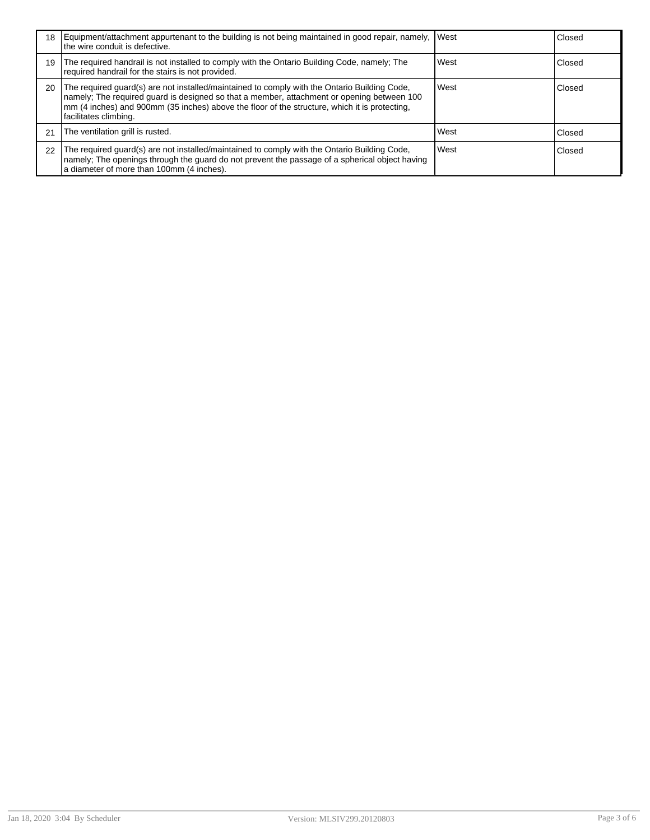| 18 | Equipment/attachment appurtenant to the building is not being maintained in good repair, namely, VWest<br>the wire conduit is defective.                                                                                                                                                                             |      | Closed |
|----|----------------------------------------------------------------------------------------------------------------------------------------------------------------------------------------------------------------------------------------------------------------------------------------------------------------------|------|--------|
| 19 | The required handrail is not installed to comply with the Ontario Building Code, namely; The<br>required handrail for the stairs is not provided.                                                                                                                                                                    | West | Closed |
| 20 | The required guard(s) are not installed/maintained to comply with the Ontario Building Code,<br>namely; The required guard is designed so that a member, attachment or opening between 100<br>mm (4 inches) and 900mm (35 inches) above the floor of the structure, which it is protecting,<br>facilitates climbing. | West | Closed |
| 21 | The ventilation grill is rusted.                                                                                                                                                                                                                                                                                     | West | Closed |
| 22 | The required guard(s) are not installed/maintained to comply with the Ontario Building Code,<br>namely; The openings through the guard do not prevent the passage of a spherical object having<br>a diameter of more than 100mm (4 inches).                                                                          | West | Closed |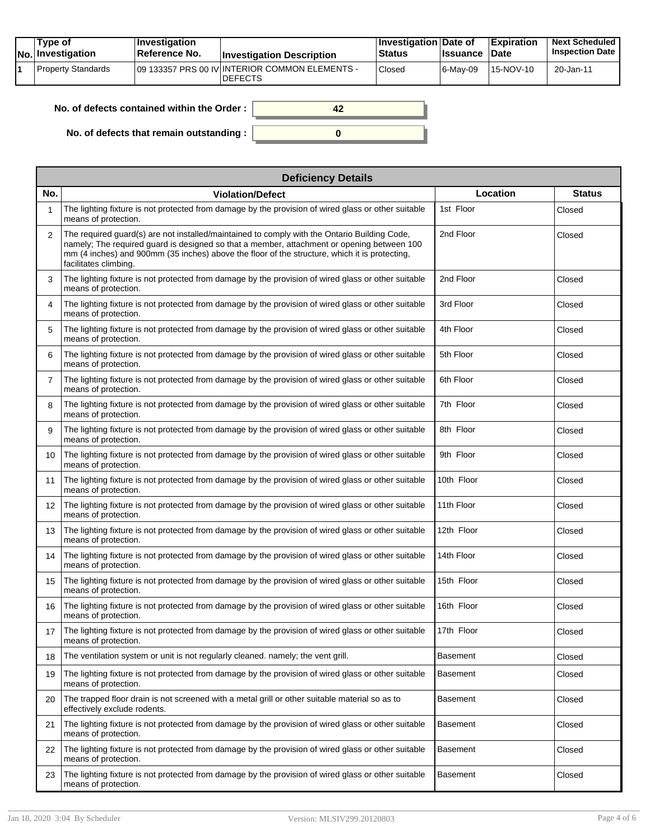| Type of<br>No. Investigation | $ $ Investigation<br>⊺Reference No. | <b>Investigation Description</b>                                  | <b>Investigation Date of</b><br><b>Status</b> | <b>Issuance</b> | <b>Expiration</b><br>Date | <b>Next Scheduled</b><br><b>Inspection Date</b> |
|------------------------------|-------------------------------------|-------------------------------------------------------------------|-----------------------------------------------|-----------------|---------------------------|-------------------------------------------------|
| Property Standards           |                                     | 109 133357 PRS 00 IV INTERIOR COMMON ELEMENTS -<br><b>DEFECTS</b> | Closed                                        | 6-Mav-09        | 15-NOV-10                 | 20-Jan-11                                       |

| No. of defects contained within the Order: |  |
|--------------------------------------------|--|
| No. of defects that remain outstanding :   |  |

|     | <b>Deficiency Details</b>                                                                                                                                                                                                                                                                                            |                 |               |  |  |  |  |  |
|-----|----------------------------------------------------------------------------------------------------------------------------------------------------------------------------------------------------------------------------------------------------------------------------------------------------------------------|-----------------|---------------|--|--|--|--|--|
| No. | <b>Violation/Defect</b>                                                                                                                                                                                                                                                                                              | Location        | <b>Status</b> |  |  |  |  |  |
| 1   | The lighting fixture is not protected from damage by the provision of wired glass or other suitable<br>means of protection.                                                                                                                                                                                          | 1st Floor       | Closed        |  |  |  |  |  |
| 2   | The required guard(s) are not installed/maintained to comply with the Ontario Building Code,<br>namely; The required guard is designed so that a member, attachment or opening between 100<br>mm (4 inches) and 900mm (35 inches) above the floor of the structure, which it is protecting,<br>facilitates climbing. | 2nd Floor       | Closed        |  |  |  |  |  |
| 3   | The lighting fixture is not protected from damage by the provision of wired glass or other suitable<br>means of protection.                                                                                                                                                                                          | 2nd Floor       | Closed        |  |  |  |  |  |
| 4   | The lighting fixture is not protected from damage by the provision of wired glass or other suitable<br>means of protection.                                                                                                                                                                                          | 3rd Floor       | Closed        |  |  |  |  |  |
| 5   | The lighting fixture is not protected from damage by the provision of wired glass or other suitable<br>means of protection.                                                                                                                                                                                          | 4th Floor       | Closed        |  |  |  |  |  |
| 6   | The lighting fixture is not protected from damage by the provision of wired glass or other suitable<br>means of protection.                                                                                                                                                                                          | 5th Floor       | Closed        |  |  |  |  |  |
| 7   | The lighting fixture is not protected from damage by the provision of wired glass or other suitable<br>means of protection.                                                                                                                                                                                          | 6th Floor       | Closed        |  |  |  |  |  |
| 8   | The lighting fixture is not protected from damage by the provision of wired glass or other suitable<br>means of protection.                                                                                                                                                                                          | 7th Floor       | Closed        |  |  |  |  |  |
| 9   | The lighting fixture is not protected from damage by the provision of wired glass or other suitable<br>means of protection.                                                                                                                                                                                          | 8th Floor       | Closed        |  |  |  |  |  |
| 10  | The lighting fixture is not protected from damage by the provision of wired glass or other suitable<br>means of protection.                                                                                                                                                                                          | 9th Floor       | Closed        |  |  |  |  |  |
| 11  | The lighting fixture is not protected from damage by the provision of wired glass or other suitable<br>means of protection.                                                                                                                                                                                          | 10th Floor      | Closed        |  |  |  |  |  |
| 12  | The lighting fixture is not protected from damage by the provision of wired glass or other suitable<br>means of protection.                                                                                                                                                                                          | 11th Floor      | Closed        |  |  |  |  |  |
| 13  | The lighting fixture is not protected from damage by the provision of wired glass or other suitable<br>means of protection.                                                                                                                                                                                          | 12th Floor      | Closed        |  |  |  |  |  |
| 14  | The lighting fixture is not protected from damage by the provision of wired glass or other suitable<br>means of protection.                                                                                                                                                                                          | 14th Floor      | Closed        |  |  |  |  |  |
| 15  | The lighting fixture is not protected from damage by the provision of wired glass or other suitable<br>means of protection.                                                                                                                                                                                          | 15th Floor      | Closed        |  |  |  |  |  |
| 16  | The lighting fixture is not protected from damage by the provision of wired glass or other suitable<br>means of protection.                                                                                                                                                                                          | 16th Floor      | Closed        |  |  |  |  |  |
| 17  | The lighting fixture is not protected from damage by the provision of wired glass or other suitable<br>means of protection.                                                                                                                                                                                          | 17th Floor      | Closed        |  |  |  |  |  |
| 18  | The ventilation system or unit is not regularly cleaned, namely; the vent grill.                                                                                                                                                                                                                                     | <b>Basement</b> | Closed        |  |  |  |  |  |
| 19  | The lighting fixture is not protected from damage by the provision of wired glass or other suitable<br>means of protection.                                                                                                                                                                                          | Basement        | Closed        |  |  |  |  |  |
| 20  | The trapped floor drain is not screened with a metal grill or other suitable material so as to<br>effectively exclude rodents.                                                                                                                                                                                       | <b>Basement</b> | Closed        |  |  |  |  |  |
| 21  | The lighting fixture is not protected from damage by the provision of wired glass or other suitable<br>means of protection.                                                                                                                                                                                          | <b>Basement</b> | Closed        |  |  |  |  |  |
| 22  | The lighting fixture is not protected from damage by the provision of wired glass or other suitable<br>means of protection.                                                                                                                                                                                          | <b>Basement</b> | Closed        |  |  |  |  |  |
| 23  | The lighting fixture is not protected from damage by the provision of wired glass or other suitable<br>means of protection.                                                                                                                                                                                          | <b>Basement</b> | Closed        |  |  |  |  |  |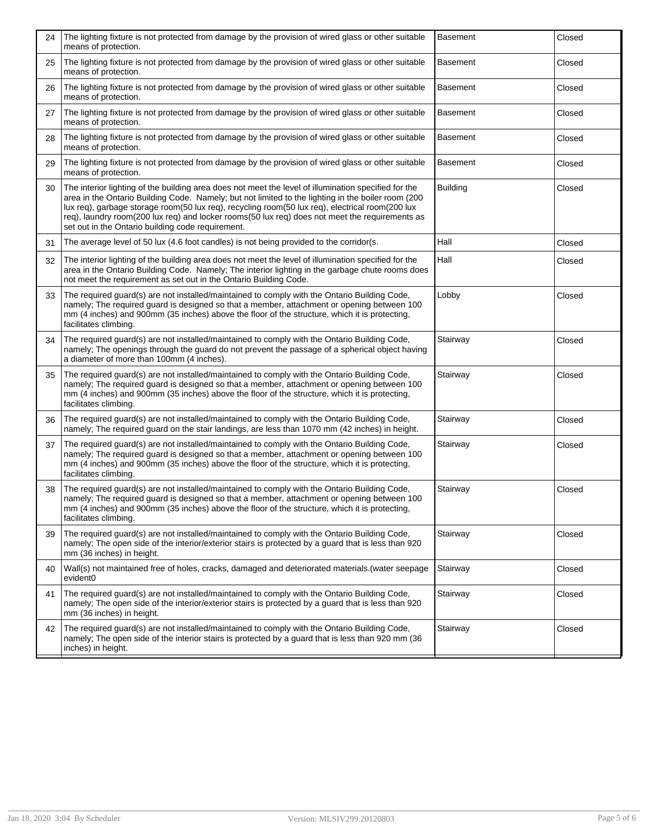| 24 | The lighting fixture is not protected from damage by the provision of wired glass or other suitable<br>means of protection.                                                                                                                                                                                                                                                                                                                                          | <b>Basement</b> | Closed |
|----|----------------------------------------------------------------------------------------------------------------------------------------------------------------------------------------------------------------------------------------------------------------------------------------------------------------------------------------------------------------------------------------------------------------------------------------------------------------------|-----------------|--------|
| 25 | The lighting fixture is not protected from damage by the provision of wired glass or other suitable<br>means of protection.                                                                                                                                                                                                                                                                                                                                          | <b>Basement</b> | Closed |
| 26 | The lighting fixture is not protected from damage by the provision of wired glass or other suitable<br>means of protection.                                                                                                                                                                                                                                                                                                                                          | <b>Basement</b> | Closed |
| 27 | The lighting fixture is not protected from damage by the provision of wired glass or other suitable<br>means of protection.                                                                                                                                                                                                                                                                                                                                          | <b>Basement</b> | Closed |
| 28 | The lighting fixture is not protected from damage by the provision of wired glass or other suitable<br>means of protection.                                                                                                                                                                                                                                                                                                                                          | <b>Basement</b> | Closed |
| 29 | The lighting fixture is not protected from damage by the provision of wired glass or other suitable<br>means of protection.                                                                                                                                                                                                                                                                                                                                          | <b>Basement</b> | Closed |
| 30 | The interior lighting of the building area does not meet the level of illumination specified for the<br>area in the Ontario Building Code. Namely; but not limited to the lighting in the boiler room (200<br>lux req), garbage storage room(50 lux req), recycling room(50 lux req), electrical room(200 lux<br>req), laundry room(200 lux req) and locker rooms(50 lux req) does not meet the requirements as<br>set out in the Ontario building code requirement. | <b>Building</b> | Closed |
| 31 | The average level of 50 lux (4.6 foot candles) is not being provided to the corridor(s.                                                                                                                                                                                                                                                                                                                                                                              | Hall            | Closed |
| 32 | The interior lighting of the building area does not meet the level of illumination specified for the<br>area in the Ontario Building Code. Namely; The interior lighting in the garbage chute rooms does<br>not meet the requirement as set out in the Ontario Building Code.                                                                                                                                                                                        | Hall            | Closed |
| 33 | The required guard(s) are not installed/maintained to comply with the Ontario Building Code,<br>namely; The required guard is designed so that a member, attachment or opening between 100<br>mm (4 inches) and 900mm (35 inches) above the floor of the structure, which it is protecting,<br>facilitates climbing.                                                                                                                                                 | Lobby           | Closed |
| 34 | The required guard(s) are not installed/maintained to comply with the Ontario Building Code,<br>namely; The openings through the guard do not prevent the passage of a spherical object having<br>a diameter of more than 100mm (4 inches).                                                                                                                                                                                                                          | Stairway        | Closed |
| 35 | The required guard(s) are not installed/maintained to comply with the Ontario Building Code,<br>namely; The required guard is designed so that a member, attachment or opening between 100<br>mm (4 inches) and 900mm (35 inches) above the floor of the structure, which it is protecting,<br>facilitates climbing.                                                                                                                                                 | Stairway        | Closed |
| 36 | The required guard(s) are not installed/maintained to comply with the Ontario Building Code,<br>namely; The required guard on the stair landings, are less than 1070 mm (42 inches) in height.                                                                                                                                                                                                                                                                       | Stairway        | Closed |
| 37 | The required guard(s) are not installed/maintained to comply with the Ontario Building Code,<br>namely; The required guard is designed so that a member, attachment or opening between 100<br>mm (4 inches) and 900mm (35 inches) above the floor of the structure, which it is protecting,<br>facilitates climbing.                                                                                                                                                 | Stairway        | Closed |
| 38 | The required guard(s) are not installed/maintained to comply with the Ontario Building Code,<br>namely; The required guard is designed so that a member, attachment or opening between 100<br>mm (4 inches) and 900mm (35 inches) above the floor of the structure, which it is protecting,<br>facilitates climbing.                                                                                                                                                 | Stairway        | Closed |
| 39 | The required guard(s) are not installed/maintained to comply with the Ontario Building Code,<br>namely; The open side of the interior/exterior stairs is protected by a guard that is less than 920<br>mm (36 inches) in height.                                                                                                                                                                                                                                     | Stairway        | Closed |
| 40 | Wall(s) not maintained free of holes, cracks, damaged and deteriorated materials (water seepage<br>evident0                                                                                                                                                                                                                                                                                                                                                          | Stairway        | Closed |
| 41 | The required guard(s) are not installed/maintained to comply with the Ontario Building Code,<br>namely; The open side of the interior/exterior stairs is protected by a quard that is less than 920<br>mm (36 inches) in height.                                                                                                                                                                                                                                     | Stairway        | Closed |
| 42 | The required guard(s) are not installed/maintained to comply with the Ontario Building Code,<br>namely; The open side of the interior stairs is protected by a quard that is less than 920 mm (36<br>inches) in height.                                                                                                                                                                                                                                              | Stairway        | Closed |